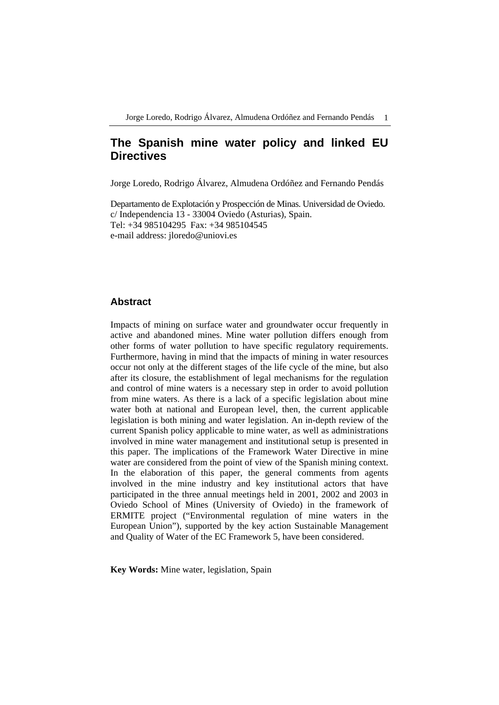# **The Spanish mine water policy and linked EU Directives**

Jorge Loredo, Rodrigo Álvarez, Almudena Ordóñez and Fernando Pendás

Departamento de Explotación y Prospección de Minas. Universidad de Oviedo. c/ Independencia 13 - 33004 Oviedo (Asturias), Spain. Tel: +34 985104295 Fax: +34 985104545 e-mail address: jloredo@uniovi.es

### **Abstract**

Impacts of mining on surface water and groundwater occur frequently in active and abandoned mines. Mine water pollution differs enough from other forms of water pollution to have specific regulatory requirements. Furthermore, having in mind that the impacts of mining in water resources occur not only at the different stages of the life cycle of the mine, but also after its closure, the establishment of legal mechanisms for the regulation and control of mine waters is a necessary step in order to avoid pollution from mine waters. As there is a lack of a specific legislation about mine water both at national and European level, then, the current applicable legislation is both mining and water legislation. An in-depth review of the current Spanish policy applicable to mine water, as well as administrations involved in mine water management and institutional setup is presented in this paper. The implications of the Framework Water Directive in mine water are considered from the point of view of the Spanish mining context. In the elaboration of this paper, the general comments from agents involved in the mine industry and key institutional actors that have participated in the three annual meetings held in 2001, 2002 and 2003 in Oviedo School of Mines (University of Oviedo) in the framework of ERMITE project ("Environmental regulation of mine waters in the European Union"), supported by the key action Sustainable Management and Quality of Water of the EC Framework 5, have been considered.

**Key Words:** Mine water, legislation, Spain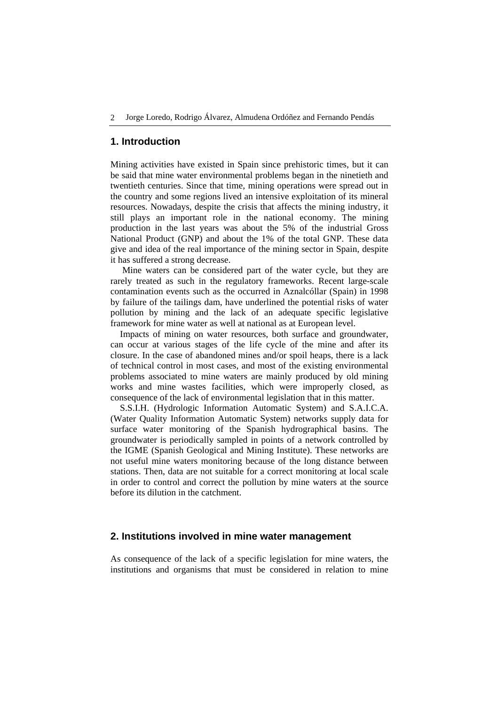## **1. Introduction**

Mining activities have existed in Spain since prehistoric times, but it can be said that mine water environmental problems began in the ninetieth and twentieth centuries. Since that time, mining operations were spread out in the country and some regions lived an intensive exploitation of its mineral resources. Nowadays, despite the crisis that affects the mining industry, it still plays an important role in the national economy. The mining production in the last years was about the 5% of the industrial Gross National Product (GNP) and about the 1% of the total GNP. These data give and idea of the real importance of the mining sector in Spain, despite it has suffered a strong decrease.

 Mine waters can be considered part of the water cycle, but they are rarely treated as such in the regulatory frameworks. Recent large-scale contamination events such as the occurred in Aznalcóllar (Spain) in 1998 by failure of the tailings dam, have underlined the potential risks of water pollution by mining and the lack of an adequate specific legislative framework for mine water as well at national as at European level.

Impacts of mining on water resources, both surface and groundwater, can occur at various stages of the life cycle of the mine and after its closure. In the case of abandoned mines and/or spoil heaps, there is a lack of technical control in most cases, and most of the existing environmental problems associated to mine waters are mainly produced by old mining works and mine wastes facilities, which were improperly closed, as consequence of the lack of environmental legislation that in this matter.

S.S.I.H. (Hydrologic Information Automatic System) and S.A.I.C.A. (Water Quality Information Automatic System) networks supply data for surface water monitoring of the Spanish hydrographical basins. The groundwater is periodically sampled in points of a network controlled by the IGME (Spanish Geological and Mining Institute). These networks are not useful mine waters monitoring because of the long distance between stations. Then, data are not suitable for a correct monitoring at local scale in order to control and correct the pollution by mine waters at the source before its dilution in the catchment.

## **2. Institutions involved in mine water management**

As consequence of the lack of a specific legislation for mine waters, the institutions and organisms that must be considered in relation to mine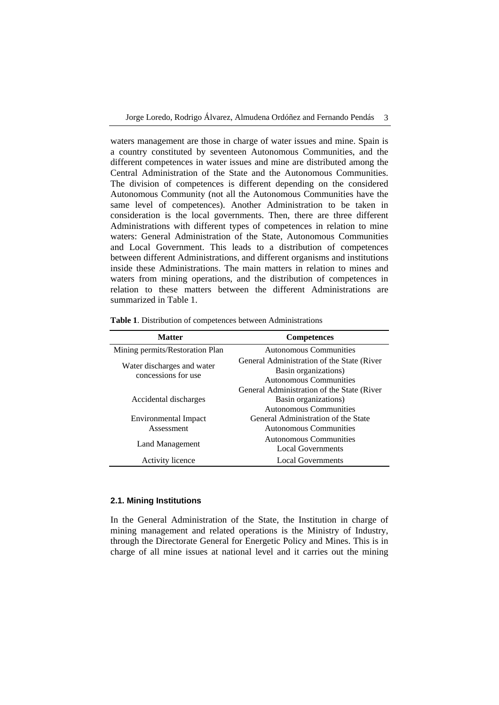waters management are those in charge of water issues and mine. Spain is a country constituted by seventeen Autonomous Communities, and the different competences in water issues and mine are distributed among the Central Administration of the State and the Autonomous Communities. The division of competences is different depending on the considered Autonomous Community (not all the Autonomous Communities have the same level of competences). Another Administration to be taken in consideration is the local governments. Then, there are three different Administrations with different types of competences in relation to mine waters: General Administration of the State, Autonomous Communities and Local Government. This leads to a distribution of competences between different Administrations, and different organisms and institutions inside these Administrations. The main matters in relation to mines and waters from mining operations, and the distribution of competences in relation to these matters between the different Administrations are summarized in Table 1.

| <b>Matter</b>                                     | <b>Competences</b>                                                                            |
|---------------------------------------------------|-----------------------------------------------------------------------------------------------|
| Mining permits/Restoration Plan                   | Autonomous Communities                                                                        |
| Water discharges and water<br>concessions for use | General Administration of the State (River)<br>Basin organizations)<br>Autonomous Communities |
| Accidental discharges                             | General Administration of the State (River)<br>Basin organizations)<br>Autonomous Communities |
| <b>Environmental Impact</b><br>Assessment         | General Administration of the State<br>Autonomous Communities                                 |
| Land Management                                   | Autonomous Communities<br>Local Governments                                                   |
| Activity licence                                  | <b>Local Governments</b>                                                                      |

**Table 1**. Distribution of competences between Administrations

### **2.1. Mining Institutions**

In the General Administration of the State, the Institution in charge of mining management and related operations is the Ministry of Industry, through the Directorate General for Energetic Policy and Mines. This is in charge of all mine issues at national level and it carries out the mining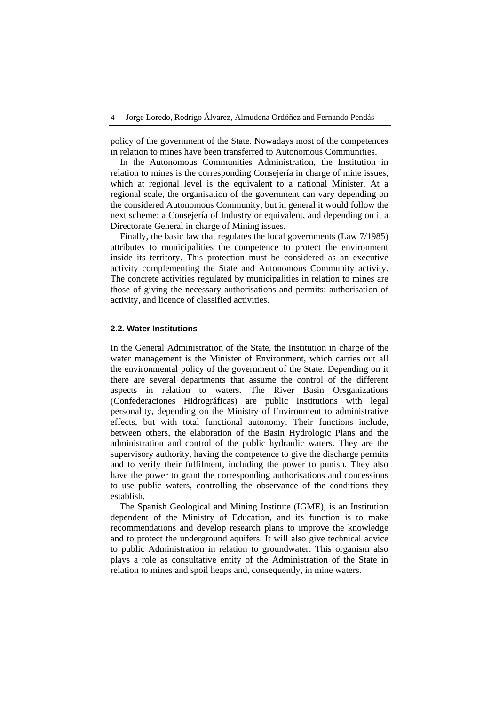policy of the government of the State. Nowadays most of the competences in relation to mines have been transferred to Autonomous Communities.

In the Autonomous Communities Administration, the Institution in relation to mines is the corresponding Consejería in charge of mine issues, which at regional level is the equivalent to a national Minister. At a regional scale, the organisation of the government can vary depending on the considered Autonomous Community, but in general it would follow the next scheme: a Consejería of Industry or equivalent, and depending on it a Directorate General in charge of Mining issues.

Finally, the basic law that regulates the local governments (Law 7/1985) attributes to municipalities the competence to protect the environment inside its territory. This protection must be considered as an executive activity complementing the State and Autonomous Community activity. The concrete activities regulated by municipalities in relation to mines are those of giving the necessary authorisations and permits: authorisation of activity, and licence of classified activities.

#### **2.2. Water Institutions**

In the General Administration of the State, the Institution in charge of the water management is the Minister of Environment, which carries out all the environmental policy of the government of the State. Depending on it there are several departments that assume the control of the different aspects in relation to waters. The River Basin Orsganizations (Confederaciones Hidrográficas) are public Institutions with legal personality, depending on the Ministry of Environment to administrative effects, but with total functional autonomy. Their functions include, between others, the elaboration of the Basin Hydrologic Plans and the administration and control of the public hydraulic waters. They are the supervisory authority, having the competence to give the discharge permits and to verify their fulfilment, including the power to punish. They also have the power to grant the corresponding authorisations and concessions to use public waters, controlling the observance of the conditions they establish.

The Spanish Geological and Mining Institute (IGME), is an Institution dependent of the Ministry of Education, and its function is to make recommendations and develop research plans to improve the knowledge and to protect the underground aquifers. It will also give technical advice to public Administration in relation to groundwater. This organism also plays a role as consultative entity of the Administration of the State in relation to mines and spoil heaps and, consequently, in mine waters.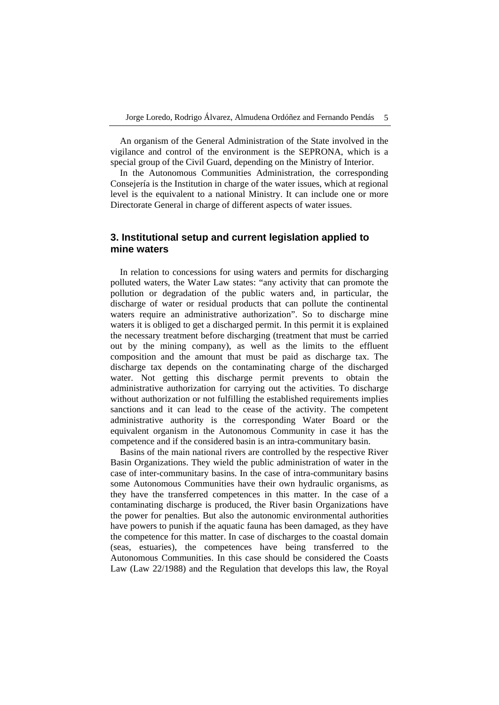An organism of the General Administration of the State involved in the vigilance and control of the environment is the SEPRONA, which is a special group of the Civil Guard, depending on the Ministry of Interior.

In the Autonomous Communities Administration, the corresponding Consejería is the Institution in charge of the water issues, which at regional level is the equivalent to a national Ministry. It can include one or more Directorate General in charge of different aspects of water issues.

## **3. Institutional setup and current legislation applied to mine waters**

In relation to concessions for using waters and permits for discharging polluted waters, the Water Law states: "any activity that can promote the pollution or degradation of the public waters and, in particular, the discharge of water or residual products that can pollute the continental waters require an administrative authorization". So to discharge mine waters it is obliged to get a discharged permit. In this permit it is explained the necessary treatment before discharging (treatment that must be carried out by the mining company), as well as the limits to the effluent composition and the amount that must be paid as discharge tax. The discharge tax depends on the contaminating charge of the discharged water. Not getting this discharge permit prevents to obtain the administrative authorization for carrying out the activities. To discharge without authorization or not fulfilling the established requirements implies sanctions and it can lead to the cease of the activity. The competent administrative authority is the corresponding Water Board or the equivalent organism in the Autonomous Community in case it has the competence and if the considered basin is an intra-communitary basin.

Basins of the main national rivers are controlled by the respective River Basin Organizations. They wield the public administration of water in the case of inter-communitary basins. In the case of intra-communitary basins some Autonomous Communities have their own hydraulic organisms, as they have the transferred competences in this matter. In the case of a contaminating discharge is produced, the River basin Organizations have the power for penalties. But also the autonomic environmental authorities have powers to punish if the aquatic fauna has been damaged, as they have the competence for this matter. In case of discharges to the coastal domain (seas, estuaries), the competences have being transferred to the Autonomous Communities. In this case should be considered the Coasts Law (Law 22/1988) and the Regulation that develops this law, the Royal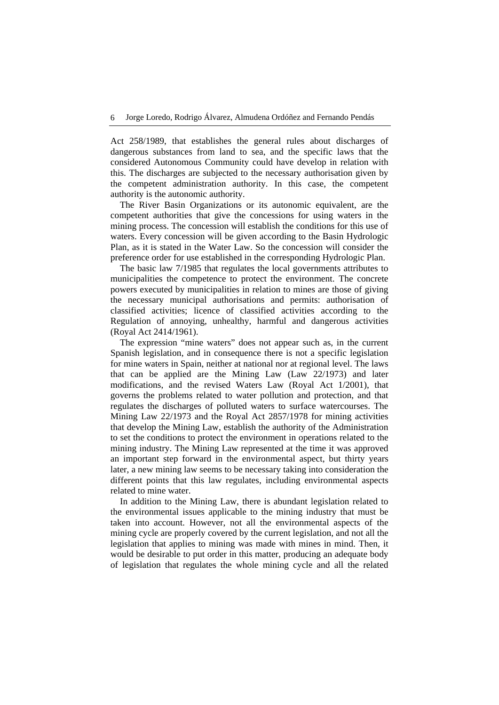Act 258/1989, that establishes the general rules about discharges of dangerous substances from land to sea, and the specific laws that the considered Autonomous Community could have develop in relation with this. The discharges are subjected to the necessary authorisation given by the competent administration authority. In this case, the competent authority is the autonomic authority.

The River Basin Organizations or its autonomic equivalent, are the competent authorities that give the concessions for using waters in the mining process. The concession will establish the conditions for this use of waters. Every concession will be given according to the Basin Hydrologic Plan, as it is stated in the Water Law. So the concession will consider the preference order for use established in the corresponding Hydrologic Plan.

The basic law 7/1985 that regulates the local governments attributes to municipalities the competence to protect the environment. The concrete powers executed by municipalities in relation to mines are those of giving the necessary municipal authorisations and permits: authorisation of classified activities; licence of classified activities according to the Regulation of annoying, unhealthy, harmful and dangerous activities (Royal Act 2414/1961).

The expression "mine waters" does not appear such as, in the current Spanish legislation, and in consequence there is not a specific legislation for mine waters in Spain, neither at national nor at regional level. The laws that can be applied are the Mining Law (Law 22/1973) and later modifications, and the revised Waters Law (Royal Act 1/2001), that governs the problems related to water pollution and protection, and that regulates the discharges of polluted waters to surface watercourses. The Mining Law 22/1973 and the Royal Act 2857/1978 for mining activities that develop the Mining Law, establish the authority of the Administration to set the conditions to protect the environment in operations related to the mining industry. The Mining Law represented at the time it was approved an important step forward in the environmental aspect, but thirty years later, a new mining law seems to be necessary taking into consideration the different points that this law regulates, including environmental aspects related to mine water.

In addition to the Mining Law, there is abundant legislation related to the environmental issues applicable to the mining industry that must be taken into account. However, not all the environmental aspects of the mining cycle are properly covered by the current legislation, and not all the legislation that applies to mining was made with mines in mind. Then, it would be desirable to put order in this matter, producing an adequate body of legislation that regulates the whole mining cycle and all the related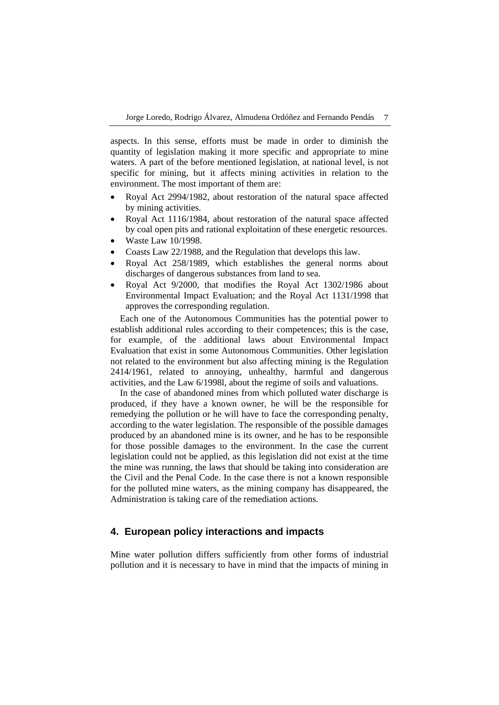aspects. In this sense, efforts must be made in order to diminish the quantity of legislation making it more specific and appropriate to mine waters. A part of the before mentioned legislation, at national level, is not specific for mining, but it affects mining activities in relation to the environment. The most important of them are:

- Royal Act 2994/1982, about restoration of the natural space affected by mining activities.
- Royal Act 1116/1984, about restoration of the natural space affected by coal open pits and rational exploitation of these energetic resources.
- Waste Law 10/1998.
- Coasts Law 22/1988, and the Regulation that develops this law.
- Royal Act 258/1989, which establishes the general norms about discharges of dangerous substances from land to sea.
- Royal Act 9/2000, that modifies the Royal Act 1302/1986 about Environmental Impact Evaluation; and the Royal Act 1131/1998 that approves the corresponding regulation.

Each one of the Autonomous Communities has the potential power to establish additional rules according to their competences; this is the case, for example, of the additional laws about Environmental Impact Evaluation that exist in some Autonomous Communities. Other legislation not related to the environment but also affecting mining is the Regulation 2414/1961, related to annoying, unhealthy, harmful and dangerous activities, and the Law 6/1998l, about the regime of soils and valuations.

In the case of abandoned mines from which polluted water discharge is produced, if they have a known owner, he will be the responsible for remedying the pollution or he will have to face the corresponding penalty, according to the water legislation. The responsible of the possible damages produced by an abandoned mine is its owner, and he has to be responsible for those possible damages to the environment. In the case the current legislation could not be applied, as this legislation did not exist at the time the mine was running, the laws that should be taking into consideration are the Civil and the Penal Code. In the case there is not a known responsible for the polluted mine waters, as the mining company has disappeared, the Administration is taking care of the remediation actions.

## **4. European policy interactions and impacts**

Mine water pollution differs sufficiently from other forms of industrial pollution and it is necessary to have in mind that the impacts of mining in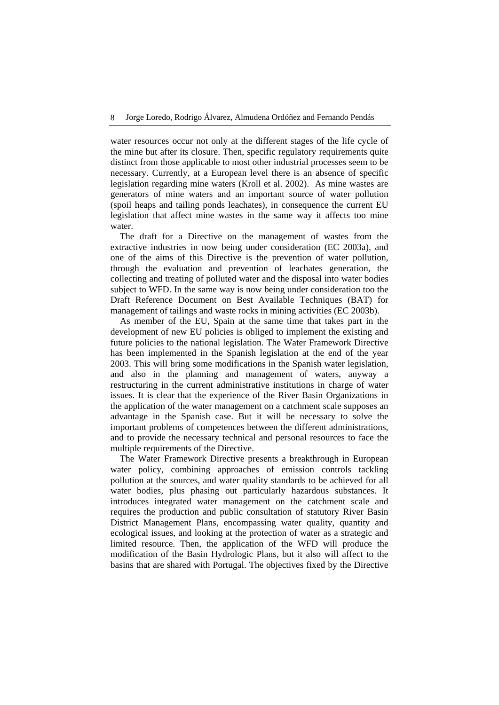water resources occur not only at the different stages of the life cycle of the mine but after its closure. Then, specific regulatory requirements quite distinct from those applicable to most other industrial processes seem to be necessary. Currently, at a European level there is an absence of specific legislation regarding mine waters (Kroll et al. 2002). As mine wastes are generators of mine waters and an important source of water pollution (spoil heaps and tailing ponds leachates), in consequence the current EU legislation that affect mine wastes in the same way it affects too mine water.

The draft for a Directive on the management of wastes from the extractive industries in now being under consideration (EC 2003a), and one of the aims of this Directive is the prevention of water pollution, through the evaluation and prevention of leachates generation, the collecting and treating of polluted water and the disposal into water bodies subject to WFD. In the same way is now being under consideration too the Draft Reference Document on Best Available Techniques (BAT) for management of tailings and waste rocks in mining activities (EC 2003b).

As member of the EU, Spain at the same time that takes part in the development of new EU policies is obliged to implement the existing and future policies to the national legislation. The Water Framework Directive has been implemented in the Spanish legislation at the end of the year 2003. This will bring some modifications in the Spanish water legislation, and also in the planning and management of waters, anyway a restructuring in the current administrative institutions in charge of water issues. It is clear that the experience of the River Basin Organizations in the application of the water management on a catchment scale supposes an advantage in the Spanish case. But it will be necessary to solve the important problems of competences between the different administrations, and to provide the necessary technical and personal resources to face the multiple requirements of the Directive.

The Water Framework Directive presents a breakthrough in European water policy, combining approaches of emission controls tackling pollution at the sources, and water quality standards to be achieved for all water bodies, plus phasing out particularly hazardous substances. It introduces integrated water management on the catchment scale and requires the production and public consultation of statutory River Basin District Management Plans, encompassing water quality, quantity and ecological issues, and looking at the protection of water as a strategic and limited resource. Then, the application of the WFD will produce the modification of the Basin Hydrologic Plans, but it also will affect to the basins that are shared with Portugal. The objectives fixed by the Directive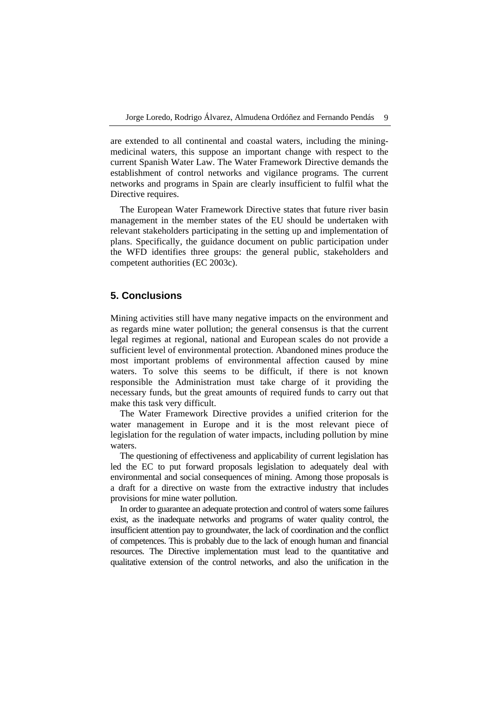are extended to all continental and coastal waters, including the miningmedicinal waters, this suppose an important change with respect to the current Spanish Water Law. The Water Framework Directive demands the establishment of control networks and vigilance programs. The current networks and programs in Spain are clearly insufficient to fulfil what the Directive requires.

The European Water Framework Directive states that future river basin management in the member states of the EU should be undertaken with relevant stakeholders participating in the setting up and implementation of plans. Specifically, the guidance document on public participation under the WFD identifies three groups: the general public, stakeholders and competent authorities (EC 2003c).

## **5. Conclusions**

Mining activities still have many negative impacts on the environment and as regards mine water pollution; the general consensus is that the current legal regimes at regional, national and European scales do not provide a sufficient level of environmental protection. Abandoned mines produce the most important problems of environmental affection caused by mine waters. To solve this seems to be difficult, if there is not known responsible the Administration must take charge of it providing the necessary funds, but the great amounts of required funds to carry out that make this task very difficult.

The Water Framework Directive provides a unified criterion for the water management in Europe and it is the most relevant piece of legislation for the regulation of water impacts, including pollution by mine waters.

The questioning of effectiveness and applicability of current legislation has led the EC to put forward proposals legislation to adequately deal with environmental and social consequences of mining. Among those proposals is a draft for a directive on waste from the extractive industry that includes provisions for mine water pollution.

In order to guarantee an adequate protection and control of waters some failures exist, as the inadequate networks and programs of water quality control, the insufficient attention pay to groundwater, the lack of coordination and the conflict of competences. This is probably due to the lack of enough human and financial resources. The Directive implementation must lead to the quantitative and qualitative extension of the control networks, and also the unification in the